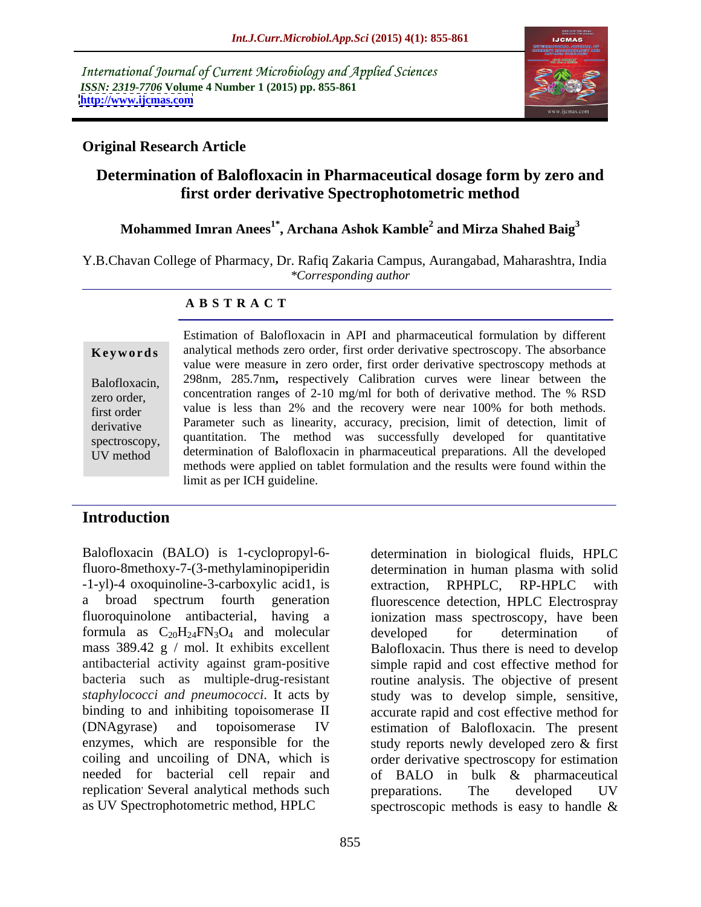International Journal of Current Microbiology and Applied Sciences *ISSN: 2319-7706* **Volume 4 Number 1 (2015) pp. 855-861 <http://www.ijcmas.com>**



### **Original Research Article**

# **Determination of Balofloxacin in Pharmaceutical dosage form by zero and first order derivative Spectrophotometric method**

#### **Mohammed Imran Anees1\* , Archana Ashok Kamble<sup>2</sup> and Mirza Shahed Baig<sup>3</sup>**

Y.B.Chavan College of Pharmacy, Dr. Rafiq Zakaria Campus, Aurangabad, Maharashtra, India *\*Corresponding author*

### **A B S T R A C T**

UV method

Estimation of Balofloxacin in API and pharmaceutical formulation by different analytical methods zero order, first order derivative spectroscopy. The absorbance value were measure in zero order, first order derivative spectroscopy methods at Balofloxacin, 298nm, 285.7nm, respectively Calibration curves were linear between the zero order, concentration ranges of 2-10 mg/ml for both of derivative method. The % RSD first order value is less than 2% and the recovery were near 100% for both methods. derivative Parameter such as linearity, accuracy, precision, limit of detection, limit of spectroscopy, quantitation. The method was successfully developed for quantitative determination of Balofloxacin in pharmaceutical preparations. All the developed methods were applied on tablet formulation and the results were found within the **Keywords** analytical methods zero order, first order derivative spectroscopy. The absorbance value were measure in zero order, first order derivative spectroscopy methods at Balofloxacin, 298nm, 285.7nm, respectively Cali

# **Introduction**

Balofloxacin (BALO) is 1-cyclopropyl-6- determination in biological fluids, HPLC fluoro-8methoxy-7-(3-methylaminopiperidin determination in human plasma with solid -1-yl)-4 oxoquinoline-3-carboxylic acid1, is a broad spectrum fourth generation fluorescence detection, HPLC Electrospray fluoroquinolone antibacterial, having a ionization mass spectroscopy, have been formula as  $C_{20}H_{24}FN_{3}O_{4}$  and molecular developed for determination of mass 389.42 g / mol. It exhibits excellent Balofloxacin. Thus there is need to develop antibacterial activity against gram-positive simple rapid and cost effective method for bacteria such as multiple-drug-resistant routine analysis. The objective of present *staphylococci and pneumococci*. It acts by binding to and inhibiting topoisomerase II accurate rapid and cost effective method for (DNAgyrase) and topoisomerase IV estimation of Balofloxacin. The present enzymes, which are responsible for the study reports newly developed zero & first coiling and uncoiling of DNA, which is order derivative spectroscopy for estimation needed for bacterial cell repair and of BALO in bulk & pharmaceutical replication Several analytical methods such preparations. The developed UV

as UV Spectrophotometric method, HPLC spectroscopic methods is easy to handle & extraction, RPHPLC, RP-HPLC with developed for determination of study was to develop simple, sensitive, preparations. The developed UV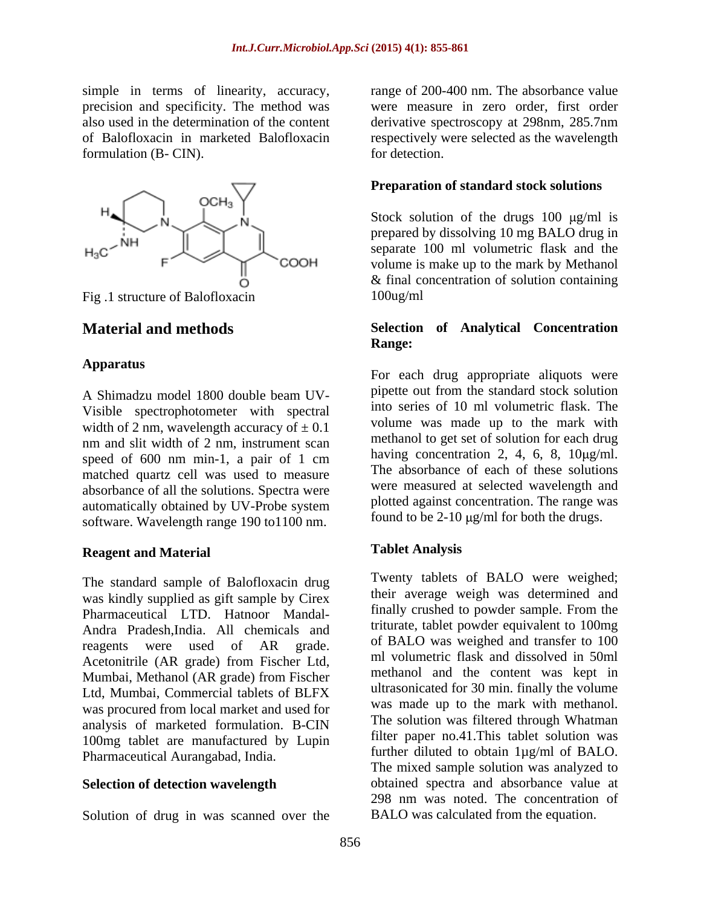simple in terms of linearity, accuracy, precision and specificity. The method was formulation (B- CIN). for detection.



Fig. 1 structure of Balofloxacin 100ug/ml

#### **Apparatus**

Visible spectrophotometer with spectral width of 2 nm, wavelength accuracy of  $\pm$  0.1 nm and slit width of 2 nm, instrument scan speed of 600 nm min-1, a pair of 1 cm matched quartz cell was used to measure absorbance of all the solutions. Spectra were automatically obtained by UV-Probe system software. Wavelength range 190 to1100 nm.

# **Reagent and Material**

The standard sample of Balofloxacin drug was kindly supplied as gift sample by Cirex Pharmaceutical LTD. Hatnoor Mandal- Andra Pradesh,India. All chemicals and reagents were used of AR grade. <sup>of BALO</sup> was weighed and transfer to 100 Acetonitrile (AR grade) from Fischer Ltd, Mumbai, Methanol (AR grade) from Fischer Ltd, Mumbai, Commercial tablets of BLFX<br>was made up to the mark with methanol. was procured from local market and used for<br>
The solution was filtered through Whatman<br>
The solution was filtered through Whatman analysis of marketed formulation. B-CIN 100mg tablet are manufactured by Lupin and tilter paper no.41.1 his tablet solution was<br>
turn ther diluted to obtain  $\mu$ g/ml of BALO.

Solution of drug in was scanned over the

also used in the determination of the content derivative spectroscopy at 298nm, 285.7nm of Balofloxacin in marketed Balofloxacin respectively were selected as the wavelength range of 200-400 nm. The absorbance value were measure in zero order, first order for detection.

### **Preparation of standard stock solutions**

Stock solution of the drugs 100  $\mu$ g/ml is prepared by dissolving 10 mg BALO drug in separate 100 ml volumetric flask and the volume is make up to the mark by Methanol & final concentration of solution containing 100ug/ml

### **Material and methods Selection of Analytical Concentration Range:**

A Shimadzu model 1800 double beam UV-<br>A shimadzu model 1800 double beam UV-For each drug appropriate aliquots were pipette out from the standard stock solution into series of 10 ml volumetric flask. The volume was made up to the mark with methanol to get set of solution for each drug having concentration 2, 4, 6, 8,  $10\mu\text{g/ml}$ . The absorbance of each of these solutions were measured at selected wavelength and plotted against concentration. The range was found to be 2-10  $\mu$ g/ml for both the drugs.

### **Tablet Analysis**

Pharmaceutical Aurangabad, India.<br>The mixed sample solution was analyzed to<br>The mixed sample solution was analyzed to **Selection of detection wavelength** botained spectra and absorbance value at 298 nm was noted. The concentration of Twenty tablets of BALO were weighed; their average weigh was determined and finally crushed to powder sample. From the triturate, tablet powder equivalent to 100mg of BALO was weighed and transfer to 100 ml volumetric flask and dissolved in 50ml methanol and the content was kept in ultrasonicated for 30 min. finally the volume was made up to the mark with methanol. The solution was filtered through Whatman filter paper no.41.This tablet solution was further diluted to obtain 1µg/ml of BALO. The mixed sample solution was analyzed to obtained spectra and absorbance value at 298 nm was noted. The concentration of BALO was calculated from the equation.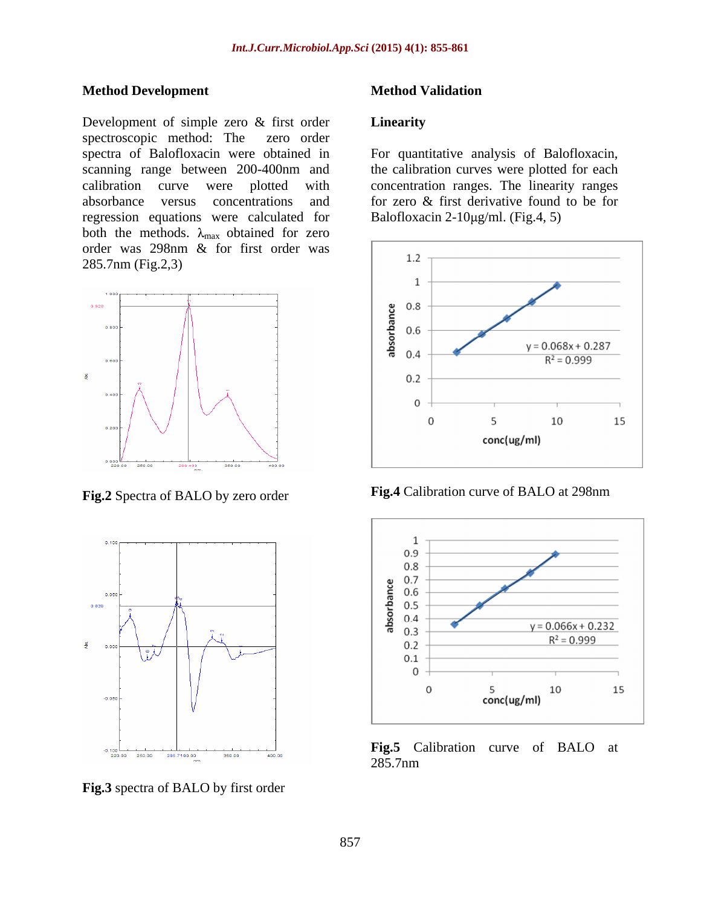### **Method Development**

Development of simple zero & first order **Linearity** spectroscopic method: The zero order spectra of Balofloxacin were obtained in For quantitative analysis of Balofloxacin, scanning range between 200-400nm and the calibration curves were plotted for each calibration curve were plotted with concentration ranges. The linearity ranges absorbance versus concentrations and for zero & first derivative found to be for regression equations were calculated for both the methods.  $\lambda_{\text{max}}$  obtained for zero order was 298nm & for first order was  $\frac{298}{1.2}$ 285.7nm (Fig.2,3)





### **Method Validation**

#### **Linearity**

Balofloxacin  $2-10\mu g/ml$ . (Fig.4, 5)



Fig.2 Spectra of BALO by zero order Fig.4 Calibration curve of BALO at 298nm



285.7nm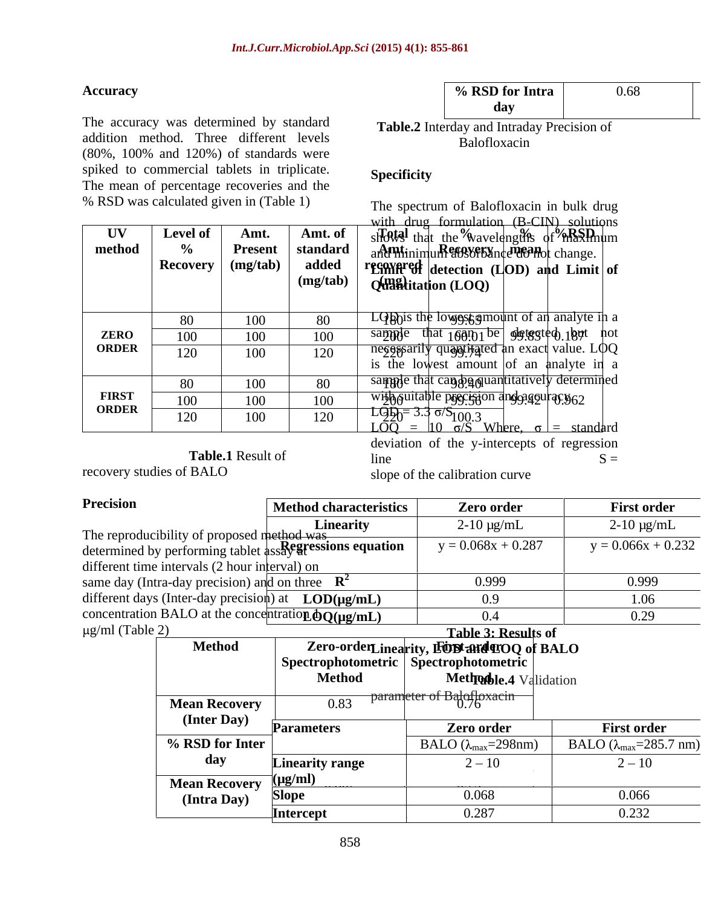The accuracy was determined by standard addition method. Three different levels **Exercise Relation** Balofloxacin (80%, 100% and 120%) of standards were spiked to commercial tablets in triplicate. Specificity The mean of percentage recoveries and the % RSD was calculated given in (Table 1)

**Table.2** Interday and Intraday Precision of Balofloxacin

## **Specificity**

 $\mathbf{U}\mathbf{V}$  **Level of Amt. Amt.** of *s* **i shows** that the wavelengths of maximum **method** | % | **Present** | **standard** | and minimum absorbance do not change.  $\textbf{Recovery} \mid (\textbf{mg/tab}) \mid \textbf{added} \mid \textbf{rg9988}$  **regnitively** detection (LOD) and Limit of  $(\text{mg/tab})$   $\downarrow$   $\downarrow$   $(\text{w}$ **antitation** (LOQ)  $\downarrow$   $\downarrow$ mean<sub>d</sub> change  $\frac{1}{2}$ The spectrum of Balofloxacin in bulk drug with drug formulation (B-CIN) solutions

|              | $\Omega$   |                   |     | and lowest amount of an analyte in a<br>LODnis the                  |  |
|--------------|------------|-------------------|-----|---------------------------------------------------------------------|--|
| <b>ZERO</b>  | 100        | 100               |     | $\pm 100.01$ be $\phi$ steeted $18$ ut hot<br>sample                |  |
| <b>ORDER</b> | 120        | TUU               | ⊥∠∪ | ne <sub>6688</sub>                                                  |  |
|              |            |                   |     | is the lowest amount of an analyte in a                             |  |
|              | $\Omega$   | 1 V V             |     | nat can ya quantitatively determined                                |  |
| <b>FIRST</b> | 100        | 100               |     | with quitable precision and gaguras y 62                            |  |
| <b>ORDER</b> | 120<br>⊥∠∪ | TOO               |     | l alah                                                              |  |
|              |            |                   |     | Where, $\sigma$ = standard<br>$10 \frac{\sigma}{S}$<br><u> 1.OO</u> |  |
|              |            |                   |     | deviation of the y-intercepts of regression                         |  |
|              |            | Table.1 Result of |     | line.                                                               |  |

recovery studies of BALO slope of the calibration curve slope of the calibration curve

| <b>Precision</b>                                                          | <b>Method characteristics</b> | Zero order                 | <b>First order</b>   |
|---------------------------------------------------------------------------|-------------------------------|----------------------------|----------------------|
|                                                                           |                               |                            |                      |
| The reproducibility of proposed method was                                | <b>Linearity</b>              | $2-10 \mu g/mL$            | $2-10 \mu g/mL$      |
| determined by performing tablet $\frac{1}{4}$ ssayer essions equation   . |                               | $y = 0.068x + 0.287$       | $y = 0.066x + 0.232$ |
| different time intervals (2 hour interval) on                             |                               |                            |                      |
| same day (Intra-day precision) and on three $\mathbb{R}^2$                |                               | 0.999                      | 0.999                |
| different days (Inter-day precision) at $\text{LOD}(\mu\text{g/mL})$      |                               |                            |                      |
| concentration BALO at the concentration $\overline{OQ(\mu g/mL)}$         |                               |                            |                      |
| $\mu$ g/ml (Table 2)                                                      |                               | <b>Table 3: Results of</b> |                      |

|                                   |                   | Table 3: Results of                       |                                   |
|-----------------------------------|-------------------|-------------------------------------------|-----------------------------------|
| <b>Method</b>                     |                   | Zero-orderLinearity, EODI and TOQ of BALO |                                   |
|                                   |                   | Spectrophotometric   Spectrophotometric   |                                   |
|                                   | <b>Method</b>     | Methodble.4 Validation                    |                                   |
| <b>Mean Recovery</b>              | 0.83              | parameter of Balofloxacin                 |                                   |
| (Inter Day)                       |                   |                                           |                                   |
|                                   | <b>Parameters</b> | Zero order                                | <b>First order</b>                |
| % RSD for Inter                   |                   | $BALO (\lambda_{max} = 298nm)$            | BALO ( $\lambda_{max}$ =285.7 nm) |
| day                               | Linearity range   | $2 - 10$                                  | $2 - 10$                          |
| <b>Mean Recovery</b> $(\mu g/ml)$ |                   |                                           |                                   |
| (Intra Day)                       | Slope             | 0.068                                     | 0.066                             |
|                                   | Intercept         | 0.287                                     | 0.232                             |
|                                   |                   |                                           |                                   |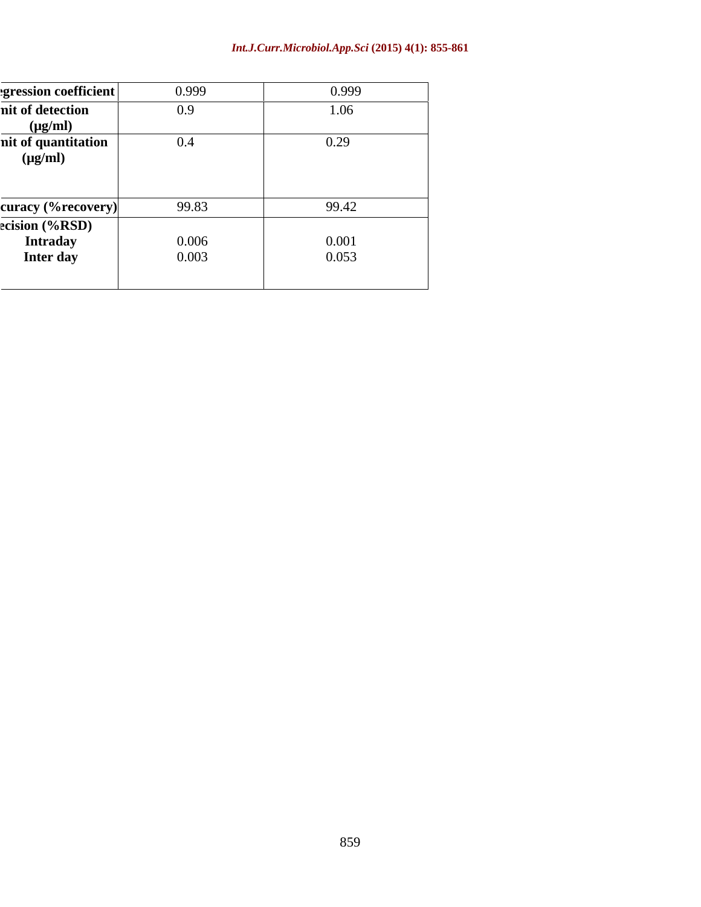### *Int.J.Curr.Microbiol.App.Sci* **(2015) 4(1): 855-861**

| egression coefficient | 0.999 | 0.999 |
|-----------------------|-------|-------|
| nit of detection      | 0.9   | 1.06  |
| $(\mu g/ml)$          |       |       |
| nit of quantitation   | 0.4   | 0.29  |
| $(\mu g/ml)$          |       |       |
|                       |       |       |
|                       |       |       |
| curacy (%recovery)    | 99.83 | 99.42 |
| ecision (%RSD)        |       |       |
| <b>Intraday</b>       | 0.006 | 0.001 |
| Inter day             | 0.003 | 0.053 |
|                       |       |       |
|                       |       |       |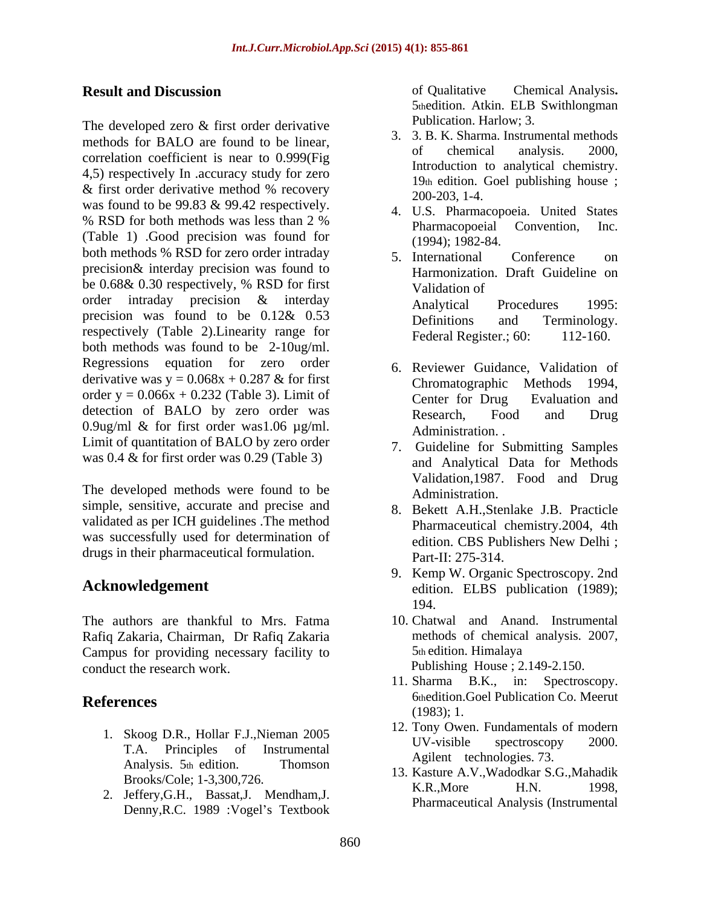The developed zero & first order derivative methods for BALO are found to be linear,<br>organization of the condition of the condition of the condition of the condition of the condition of the condition of the condition of the condition of the condition of the conditio correlation coefficient is near to 0.999(Fig 4,5) respectively In .accuracy study for zero & first order derivative method % recovery<br>was found to be  $99.83 \& 99.42$  respectively. % RSD for both methods was less than  $2\%$  That the pharmacopoeial convention. Inc. % KSD for both methods was fess than 2 %<br>
(Table 1) .Good precision was found for  $(1004)$ ,  $1082.84$ both methods % RSD for zero order intraday  $\overline{5}$ . International Conference on precision& interday precision was found to be 0.68& 0.30 respectively, % RSD for first validation of order intraday precision & interday Analytical Procedures 1995: precision was found to be  $0.12\& 0.53$  Definitions and Terminology. respectively (Table 2). Linearity range for Federal Register.; 60: 112-160. both methods was found to be 2-10ug/ml. Regressions equation for zero order derivative was  $y = 0.068x + 0.287$  & for first<br>Chromatographic Methods 1994, order  $y = 0.066x + 0.232$  (Table 3). Limit of Center for Drug Evaluation and detection of BALO by zero order was Research, Food and Drug 0.9ug/ml & for first order was1.06  $\mu$ g/ml. Administration. Limit of quantitation of BALO by zero order 7. Guideline for Submitting Samples was 0.4 & for first order was 0.29 (Table 3)

The developed methods were found to be Administration. simple, sensitive, accurate and precise and 8. Bekett A.H., Stenlake J.B. Practicle validated as per ICH guidelines .The method was successfully used for determination of edition. CBS Publishers New Delhi; drugs in their pharmaceutical formulation.

The authors are thankful to Mrs. Fatma Rafiq Zakaria, Chairman, Dr Rafiq Zakaria Campus for providing necessary facility to conduct the research work. Publishing House ; 2.149-2.150.

- 1. Skoog D.R., Hollar F.J., Nieman 2005<br>UV-visible spectroscopy 2000. Analysis. 5th edition. Thomson Report Component Component Component Component Component Component Component Component Component Component Component Component Component Component Component Component Component Component Comp
- 2. Jeffery,G.H., Bassat,J. Mendham,J. Denny, R.C. 1989 : Vogel's Textbook

**Result and Discussion Channel Structure Chemical Analysis.** Chemical Analysis. of Qualitative Chemical Analysis**.** 5thedition. Atkin. ELB Swithlongman Publication. Harlow; 3.

- 3. 3. B. K. Sharma. Instrumental methods of chemical analysis. 2000, Introduction to analytical chemistry. 19th edition. Goel publishing house ; 200-203, 1-4.
- 4. U.S. Pharmacopoeia. United States Pharmacopoeial Convention, Inc. (1994); 1982-84.
- 5. International Conference on Harmonization. Draft Guideline on Validation of Analytical Procedures 1995: Definitions and Terminology. Federal Register.; 60:
- 6. Reviewer Guidance, Validation of Chromatographic Methods 1994, Center for Drug Evaluation and Research, Food and Drug
- Administration. .<br>7. Guideline for Submitting Samples and Analytical Data for Methods Validation,1987. Food and Drug
- Administration. 8. Bekett A.H.,Stenlake J.B. Practicle Pharmaceutical chemistry.2004, 4th edition. CBS Publishers New Delhi ; Part-II: 275-314.
- Acknowledgement edition. ELBS publication (1989); 9. Kemp W. Organic Spectroscopy. 2nd 194.
	- 10. Chatwal and Anand. Instrumental methods of chemical analysis. 2007, 5th edition. Himalaya
- **References** bonedition.Goel Publication Co. Meerut 11. Sharma B.K., in: Spectroscopy. 6thedition.Goel Publication Co. Meerut (1983); 1.
	- T.A. Principles of Instrumental  $\frac{0 \text{ v-value} \text{ Spc}(100 \text{ s})}{0 \text{ s-lent} \text{ Spc}(100 \text{ s})}$  zood. 12. Tony Owen. Fundamentals of modern UV-visible spectroscopy 2000. Agilent technologies. 73.
	- Brooks/Cole; 1-3,300,726. <br> **Example 1.8** E.R., More H.N. 1998, 13. Kasture A.V.,Wadodkar S.G.,Mahadik K.R.,More H.N. 1998, Pharmaceutical Analysis (Instrumental